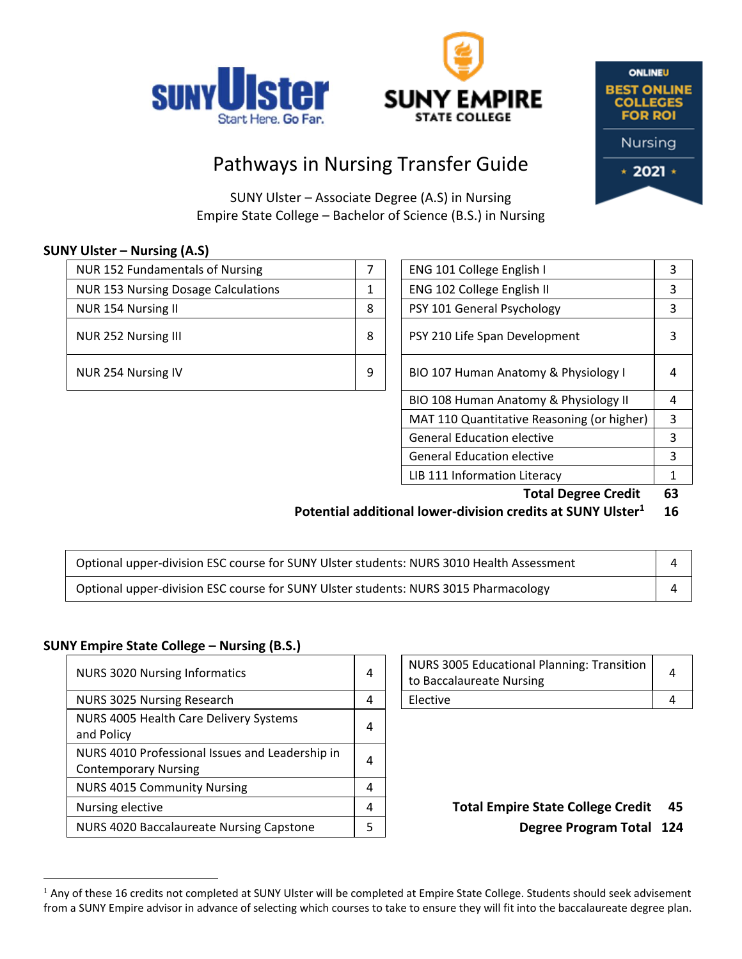





# Pathways in Nursing Transfer Guide

SUNY Ulster – Associate Degree (A.S) in Nursing Empire State College – Bachelor of Science (B.S.) in Nursing

# **SUNY Ulster – Nursing (A.S)**

| NUR 152 Fundamentals of Nursing            |   | ENG 101 College English I            | κ |
|--------------------------------------------|---|--------------------------------------|---|
| <b>NUR 153 Nursing Dosage Calculations</b> |   | ENG 102 College English II           | 3 |
| NUR 154 Nursing II                         | 8 | PSY 101 General Psychology           |   |
| NUR 252 Nursing III                        | 8 | PSY 210 Life Span Development        | 3 |
| NUR 254 Nursing IV                         | 9 | BIO 107 Human Anatomy & Physiology I | 4 |

| ENG 101 College English I                  |   |
|--------------------------------------------|---|
| ENG 102 College English II                 | 3 |
| PSY 101 General Psychology                 | 3 |
| PSY 210 Life Span Development              | 3 |
| BIO 107 Human Anatomy & Physiology I       | 4 |
| BIO 108 Human Anatomy & Physiology II      | 4 |
| MAT 110 Quantitative Reasoning (or higher) |   |
| <b>General Education elective</b>          |   |
| <b>General Education elective</b>          | 3 |
| LIB 111 Information Literacy               | 1 |
|                                            |   |

**Total Degree Credit 63**

#### **Potential additional lower-division credits at SUNY Ulster<sup>1</sup> 16**

| Optional upper-division ESC course for SUNY Ulster students: NURS 3010 Health Assessment |  |
|------------------------------------------------------------------------------------------|--|
| Optional upper-division ESC course for SUNY Ulster students: NURS 3015 Pharmacology      |  |

# **SUNY Empire State College – Nursing (B.S.)**

 $\overline{a}$ 

| <b>NURS 3020 Nursing Informatics</b>                                           | 4 | NURS 3005 Educational Planning: Transition<br>to Baccalaureate Nursing | 4 |
|--------------------------------------------------------------------------------|---|------------------------------------------------------------------------|---|
| NURS 3025 Nursing Research                                                     | 4 | Elective                                                               | 4 |
| NURS 4005 Health Care Delivery Systems<br>and Policy                           | 4 |                                                                        |   |
| NURS 4010 Professional Issues and Leadership in<br><b>Contemporary Nursing</b> | 4 |                                                                        |   |
| <b>NURS 4015 Community Nursing</b>                                             | 4 |                                                                        |   |
| Nursing elective                                                               | 4 | <b>Total Empire State College Credit</b>                               | 4 |
| NURS 4020 Baccalaureate Nursing Capstone                                       | 5 | <b>Degree Program Total 12</b>                                         |   |

| NURS 3005 Educational Planning: Transition  <br>to Baccalaureate Nursing |  |
|--------------------------------------------------------------------------|--|
| Elective                                                                 |  |

Degree Program Total 124

<sup>&</sup>lt;sup>1</sup> Any of these 16 credits not completed at SUNY Ulster will be completed at Empire State College. Students should seek advisement from a SUNY Empire advisor in advance of selecting which courses to take to ensure they will fit into the baccalaureate degree plan.